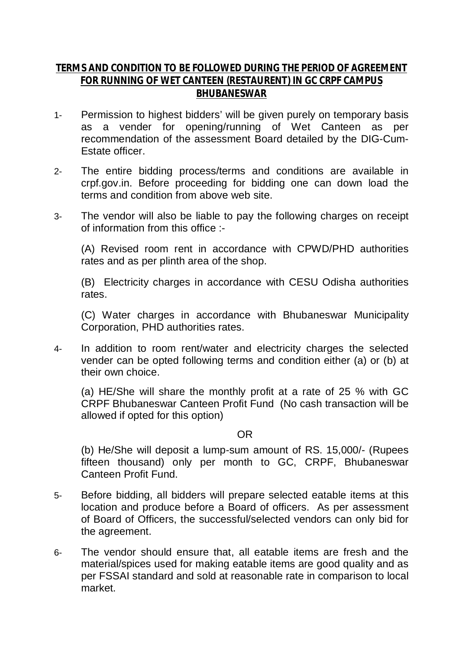## **TERMS AND CONDITION TO BE FOLLOWED DURING THE PERIOD OF AGREEMENT FOR RUNNING OF WET CANTEEN (RESTAURENT) IN GC CRPF CAMPUS BHUBANESWAR**

- 1- Permission to highest bidders' will be given purely on temporary basis as a vender for opening/running of Wet Canteen as per recommendation of the assessment Board detailed by the DIG-Cum-Estate officer.
- 2- The entire bidding process/terms and conditions are available in crpf.gov.in. Before proceeding for bidding one can down load the terms and condition from above web site.
- 3- The vendor will also be liable to pay the following charges on receipt of information from this office :-

(A) Revised room rent in accordance with CPWD/PHD authorities rates and as per plinth area of the shop.

(B) Electricity charges in accordance with CESU Odisha authorities rates.

(C) Water charges in accordance with Bhubaneswar Municipality Corporation, PHD authorities rates.

4- In addition to room rent/water and electricity charges the selected vender can be opted following terms and condition either (a) or (b) at their own choice.

(a) HE/She will share the monthly profit at a rate of 25 % with GC CRPF Bhubaneswar Canteen Profit Fund (No cash transaction will be allowed if opted for this option)

## OR

(b) He/She will deposit a lump-sum amount of RS. 15,000/- (Rupees fifteen thousand) only per month to GC, CRPF, Bhubaneswar Canteen Profit Fund.

- 5- Before bidding, all bidders will prepare selected eatable items at this location and produce before a Board of officers. As per assessment of Board of Officers, the successful/selected vendors can only bid for the agreement.
- 6- The vendor should ensure that, all eatable items are fresh and the material/spices used for making eatable items are good quality and as per FSSAI standard and sold at reasonable rate in comparison to local market.